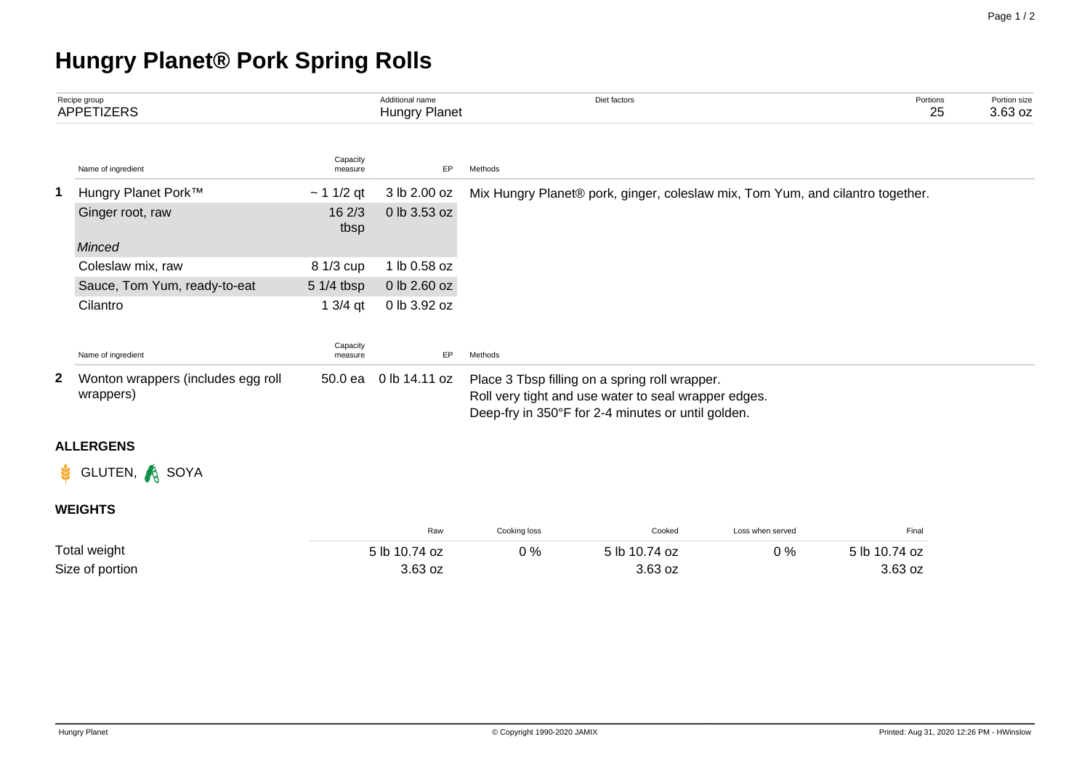## **Hungry Planet® Pork Spring Rolls**

|   | Recipe group<br><b>APPETIZERS</b>               |                     | Additional name<br>Hungry Planet | Diet factors                                                                                                                                                 | Portions<br>25 | Portion size<br>3.63 oz |  |  |
|---|-------------------------------------------------|---------------------|----------------------------------|--------------------------------------------------------------------------------------------------------------------------------------------------------------|----------------|-------------------------|--|--|
|   | Name of ingredient                              | Capacity<br>measure | EP                               | Methods                                                                                                                                                      |                |                         |  |  |
| 1 | Hungry Planet Pork™                             | $~11/2$ qt          | 3 lb 2.00 oz                     | Mix Hungry Planet® pork, ginger, coleslaw mix, Tom Yum, and cilantro together.                                                                               |                |                         |  |  |
|   | Ginger root, raw                                | 162/3<br>tbsp       | 0 lb 3.53 oz                     |                                                                                                                                                              |                |                         |  |  |
|   | Minced                                          |                     |                                  |                                                                                                                                                              |                |                         |  |  |
|   | Coleslaw mix, raw                               | 8 1/3 cup           | 1 lb 0.58 oz                     |                                                                                                                                                              |                |                         |  |  |
|   | Sauce, Tom Yum, ready-to-eat                    | 5 1/4 tbsp          | 0 lb 2.60 oz                     |                                                                                                                                                              |                |                         |  |  |
|   | Cilantro                                        | $13/4$ qt           | 0 lb 3.92 oz                     |                                                                                                                                                              |                |                         |  |  |
|   | Name of ingredient                              | Capacity<br>measure | EP                               | Methods                                                                                                                                                      |                |                         |  |  |
| 2 | Wonton wrappers (includes egg roll<br>wrappers) | 50.0 ea             | 0 lb 14.11 oz                    | Place 3 Tbsp filling on a spring roll wrapper.<br>Roll very tight and use water to seal wrapper edges.<br>Deep-fry in 350°F for 2-4 minutes or until golden. |                |                         |  |  |
|   | <b>ALLERGENS</b>                                |                     |                                  |                                                                                                                                                              |                |                         |  |  |
|   | GLUTEN, & SOYA                                  |                     |                                  |                                                                                                                                                              |                |                         |  |  |
|   | <b>WEIGHTS</b>                                  |                     |                                  |                                                                                                                                                              |                |                         |  |  |
|   |                                                 |                     |                                  |                                                                                                                                                              |                |                         |  |  |

|                 | Raw           | Cookina loss | Cooked        | Loss when served | Final         |
|-----------------|---------------|--------------|---------------|------------------|---------------|
| Total weight    | 5 lb 10.74 oz | 0 %          | 5 lb 10.74 oz | 0 %              | 5 lb 10.74 oz |
| Size of portion | 3.63 oz       |              | 3.63 oz       |                  | 3.63 oz       |